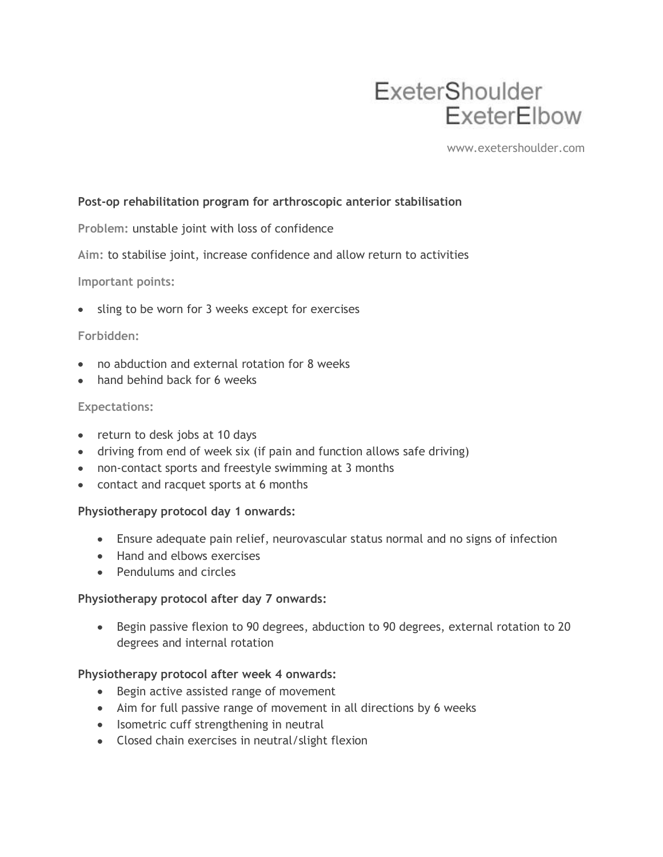# ExeterShoulder ExeterElbow

www.exetershoulder.com

# **Post-op rehabilitation program for arthroscopic anterior stabilisation**

**Problem:** unstable joint with loss of confidence

**Aim:** to stabilise joint, increase confidence and allow return to activities

#### **Important points:**

sling to be worn for 3 weeks except for exercises

## **Forbidden:**

- no abduction and external rotation for 8 weeks
- hand behind back for 6 weeks

## **Expectations:**

- return to desk jobs at 10 days
- driving from end of week six (if pain and function allows safe driving)
- non-contact sports and freestyle swimming at 3 months
- contact and racquet sports at 6 months

#### **Physiotherapy protocol day 1 onwards:**

- Ensure adequate pain relief, neurovascular status normal and no signs of infection
- Hand and elbows exercises
- Pendulums and circles

#### **Physiotherapy protocol after day 7 onwards:**

• Begin passive flexion to 90 degrees, abduction to 90 degrees, external rotation to 20 degrees and internal rotation

## **Physiotherapy protocol after week 4 onwards:**

- Begin active assisted range of movement
- Aim for full passive range of movement in all directions by 6 weeks
- Isometric cuff strengthening in neutral
- Closed chain exercises in neutral/slight flexion